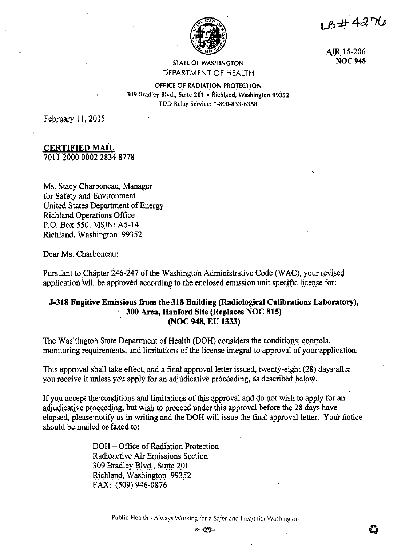LB#4276



AIR 15-206 **NOC948** 

# STATE OF WASHINGTON DEPARTMENT OF HEALTH

OFFICE OF RADIATION PROTECTION 309 Bradley Blvd., Suite 201 • Richland, Washington 99352 TDD Relay Service: 1-800-833-6388

February 11, 2015

# . **CERTIFIED MAIL**

7011 2000 0002 2834 8778

Ms. Stacy Charboneau, Manager for Safety and Environment United States Department of Energy Richland Operations Office P.O. Box 550, MSIN: A5-14 Richland, Washington 99352

Dear Ms. Charboneau:

Pursuant to Chapter 246-247 of the Washington Administrative Code (WAC), your revised application will be approved according to the enclosed emission unit specific license for:

# **J-318 Fugitive Emissions from the 318 Building (Radiological Calibrations Laboratory), 300 Area, Hanford Site (Replaces NOC 815) (NOC 948, EU 1333)**

The Washington State Department of Health (DOH) considers the conditions, controls, monitoring requirements, and limitations of the license integral to approval of your application.

This approval shall take effect, and a final approval letter issued, twenty-eight **(28)** days after you receive it unless you apply for an adjudicative proceeding, as described below.

If you accept the conditions and limitations of this approval and do not wish to apply for an adjudicative proceeding, but wish to proceed under this approval before the 28 days have elapsed, please notify us in writing and the DOH will issue the final approval letter. Your notice should be mailed or-faxed to:

> DOH – Office of Radiation Protection Radioactive Air Emissions Section 309 Bradley Blvd., Suite 201 Richland, Washington 99352 FAX: (509) 946-0876

> > Public Health - Always Working for a Safer and Healthier Washington ®~ **0**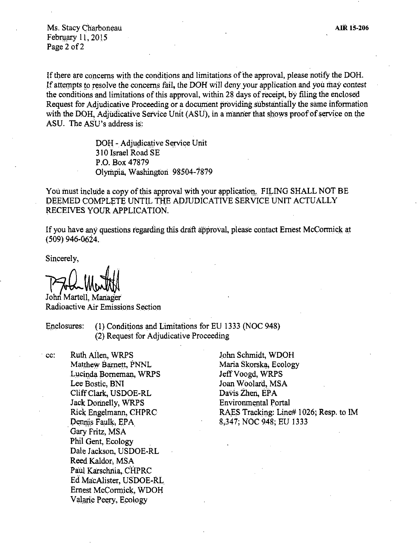Ms. Stacy Charboneau February 11, 2015 Page 2 of 2

If there are concerns with the conditions and limitations of the approval, please notify the DOH. If attempts to resolve the concerns fail, the DOH will deny your application and you may contest the conditions and limitations of this approval, within 28 days ofreceipt, by filing the enclosed Request for Adjudicative Proceeding or a document providing substantially the same information with the DOH, Adjudicative Service Unit (ASU), in a manner that shows proof of service on the ASU. The ASU's address is:

> DOH - Adjudicative Service Unit 310 Israel Road SE P .0. Box 47879 Olympia, Washington 98504-7879

You must include a copy of this approval with your application. FILING SHALL NOT BE DEEMED COMPLETE UNTIL THE ADJUDICATIVE SERVICE UNIT ACTUALLY RECEIVES YOUR APPLICATION.

If you have any questions regarding this draft approval, please contact Ernest McCormick at ( 509) 946-0624.

Sincerely,

John Martell, Manager Radioactive Air Emissions Section

Enclosures: (1) Conditions and Limitations for EU 1333 (NOC 948) (2) Request for Adjudicative Proceeding

. cc: Ruth Ailen, WRPS Matthew Barnett, PNNL Lucinda Borneman, WRPS Lee Bostic, BNI CliffC!ark, USDOE-RL Jack Donnelly, WRPS Rick Engelmann, CHPRC Dennis Faulk, EPA Gary Fritz, MSA Phil Gent, Ecology Dale Jackson, USDOE-RL Reed Kaldor, MSA Paul Karschnia, CHPRC Ed MacAlister, USDOE-RL. Ernest McCormick, WDOH Valarie Peery, Ecology

John Schmidt, WDOH Maria Skorska; Ecology JeffVoogd, WRPS Joan Woolard, MSA Davis Zhen, EPA Environmental Portal RAES Tracking: Line# 1026; Resp. to IM 8;347; NOC 948; EU 1333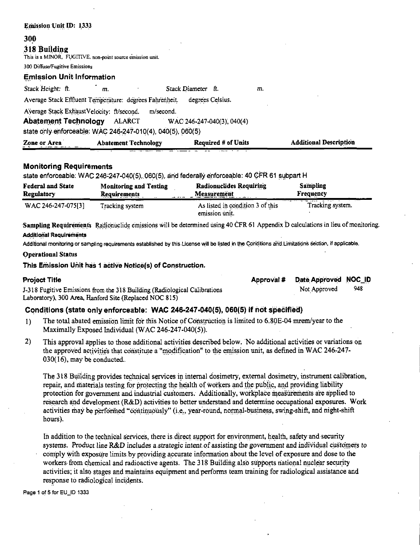| <b>Emission Unit ID: 1333</b>                                               |                               |
|-----------------------------------------------------------------------------|-------------------------------|
| 300                                                                         |                               |
| 318 Building<br>This is a MINOR, FUGITIVE, non-point source emission unit.  |                               |
| 300 Diffuse/Fugitive Emissions                                              |                               |
| <b>Emission Unit Information</b>                                            |                               |
| Stack Height: ft.<br>Stack Diameter ft.<br>m.                               | m.                            |
| Average Stack Effluent Temperature: degrees Fahrenheit.<br>degrees Celsius. |                               |
| Average Stack ExhaustVelocity: ft/second.<br>m/second.                      |                               |
| <b>Abatement Technology</b> ALARCT<br>$WAC 246-247-040(3), 040(4)$          |                               |
| state only enforceable: WAC 246-247-010(4), 040(5), 060(5)                  |                               |
| Zone or Area<br><b>Required # of Units</b><br><b>Abatement Technology</b>   | <b>Additional Description</b> |

## **Monitoring Requirements**

state enforceable: WAC 246-247-040(5), 060(5), and federally enforceable: 40 CFR 61 subpart H

| <b>Federal and State</b> | <b>Monitoring and Testing</b> | <b>Radionuclides Requiring</b>                          | <b>Sampling</b>  |
|--------------------------|-------------------------------|---------------------------------------------------------|------------------|
| <b>Regulatory</b>        | <b>Requirements</b>           | Measurement                                             | Frequency        |
| WAC 246-247-075[3]       | Tracking system               | As listed in condition 3 of this<br>.<br>emission unit. | Tracking system. |

Sampling Requirements Radionuclide emissions will be determined using 40 CFR 61 Appendix D calculations in lieu of monitoring. **Additional Requirements** 

Additional monitoring or sampling requirements established by this License will be listed in the Conditions and Limitations section, if applicable.

### **Operational Status**

This Emission Unit has 1 active Notice(s) of Construction.

| <b>Project Title</b>                                                      | Approval # | Date Approved NOC_ID |     |
|---------------------------------------------------------------------------|------------|----------------------|-----|
| J-318 Fugitive Emissions from the 318 Building (Radiological Calibrations |            | Not Approved         | 948 |
| Laboratory), 300 Area, Hanford Site (Replaced NOC 815)                    |            |                      |     |

### Conditions (state only enforceable: WAC 246-247-040(5), 060(5) if not specified)

- The total abated emission limit for this Notice of Construction is limited to 6.80E-04 mrem/year to the  $1)$ Maximally Exposed Individual (WAC 246-247-040(5)).
- $2)$ This approval applies to those additional activities described below. No additional activities or variations on the approved activities that constitute a "modification" to the emission unit, as defined in WAC 246-247- $030(16)$ , may be conducted.

The 318 Building provides technical services in internal dosimetry, external dosimetry, instrument calibration, repair, and materials testing for protecting the health of workers and the public, and providing liability protection for government and industrial customers. Additionally, workplace measurements are applied to research and development (R&D) activities to better understand and determine occupational exposures. Work activities may be performed "continuously" (i.e., year-round, normal-business, swing-shift, and night-shift hours).

In addition to the technical services, there is direct support for environment, health, safety and security systems. Product line R&D includes a strategic intent of assisting the government and individual customers to comply with exposure limits by providing accurate information about the level of exposure and dose to the workers from chemical and radioactive agents. The 318 Building also supports national nuclear security activities; it also stages and maintains equipment and performs team training for radiological assistance and response to radiological incidents.

Page 1 of 5 for EU ID 1333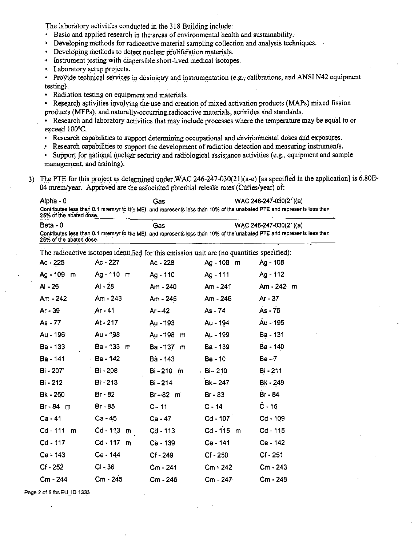The laboratory activities conducted in the 318 Building include:

- · Basic and applied research in the areas of environmental health and sustainability.
- Developing methods for radioactive material sampling collection and analysis techniques.
- · Developing methods to detect nuclear proliferation materials.
- Instrument testing with dispersible short-lived medical isotopes.
- Laboratory setup projects.

• Provide technical services in dosimetry and instrumentation (e.g., calibrations, and ANSI N42 equipment testing).

- Radiation testing on equipment and materials.
- Research activities involving the use and creation of mixed activation products (MAPs) mixed fission products (MFPs), and naturally-occurring radioactive materials, actinides and standards.
- Research and laboratory activities that may include processes where the temperature may be equal to or exceed 100°C.
- Research capabilities to support determining occupational and environmental doses and exposures.
- . Research capabilities to support the development of radiation detection and measuring instruments.
- Support for national nuclear security and radiological assistance activities (e.g., equipment and sample management, and training).
- 3) The PTE for this project as determined under WAC 246-247-030(21)(a-e) [as specified in the application] is 6.80E= 04 mrem/year. Approved are the associated potential release rates (Curies/year) of:

| Alpha - 0               | Gas | WAC 246-247-030(21)(a)                                                                                                  |
|-------------------------|-----|-------------------------------------------------------------------------------------------------------------------------|
| 25% of the abated dose. |     | Contributes less than 0.1 mrem/yr to the MEI, and represents less than 10% of the unabated PTE and represents less than |
| Beta - 0                | Gas | WAC 246-247-030(21)(a)                                                                                                  |

Contributes less than 0.1 mrem/yr to the MEI, and represents less than 10% of the unabated PTE and represents less than 25% of the abated dose.

|              | The company of the company of the company of the company of the company of the company of the company of the company of the company of the company of the company of the company of the company of the company of the company | $\frac{1}{2}$ which considers the minimum |                 |                 |
|--------------|-------------------------------------------------------------------------------------------------------------------------------------------------------------------------------------------------------------------------------|-------------------------------------------|-----------------|-----------------|
| Ac - 225     | Ac - 227                                                                                                                                                                                                                      | Ac - 228                                  | Ag-108 m Ag-108 |                 |
| Ag - 109 m   | Ag-110 m Ag-110                                                                                                                                                                                                               |                                           | Ag - 111        | Ag - 112        |
| AI - 26      | Al - 28                                                                                                                                                                                                                       | Am - 240                                  | Am - 241        | $Am - 242$ m    |
| $Am - 242$   | Am - 243                                                                                                                                                                                                                      | Am - 245                                  | Am - 246        | Ar - $37$       |
| Ar - 39      | Ar - 41                                                                                                                                                                                                                       | Ar - 42                                   | As - 74         | $As - 76$       |
| As - 77      | At - 217                                                                                                                                                                                                                      | Au - 193                                  | Au - 194        | Au - 195        |
| Au - 196     | Au - 198                                                                                                                                                                                                                      | Au - 198 m                                | Au - 199        | <b>Ba</b> - 131 |
| Ba - 133     | Ba - 133 m                                                                                                                                                                                                                    | Ba-137 m                                  | Ba - 139        | Ba - 140        |
| Ba - 141     | - Ba - 142                                                                                                                                                                                                                    | Ba - 143                                  | Be - 10         | Be - 7          |
| Bi - 2071    | Bi - 208                                                                                                                                                                                                                      | Bi - 210 m                                | 。Bi - 210       | $Bi - 211$      |
| Bi - 212     | Bi - 213                                                                                                                                                                                                                      | Bi - 214                                  | Bk - 247        | Bk - 249        |
| Bk - 250     | Br - 82                                                                                                                                                                                                                       | $Br - 82 \text{ m}$                       | Br - 83         | Br - 84         |
| Br-84 m      | Br - 85                                                                                                                                                                                                                       | $C - 11$                                  | $C - 14$        | $C - 15$        |
| Ca - 41      | Ca - 45                                                                                                                                                                                                                       | Ca - 47                                   | $Cd - 107$      | $Cd - 109$      |
| $Cd - 111$ m | Cd - 113 $\dot{m}$                                                                                                                                                                                                            | Cd - 113                                  | $Cd - 115$ m    | $Cd - 115$      |
| Cd - 117     | $Cd - 117$ m                                                                                                                                                                                                                  | Ce - 139                                  | Ce - 141        | Ce - 142        |
| Ce - 143     | Ce - 144                                                                                                                                                                                                                      | Cf-249                                    | Cf - 250        | Cf - 251        |
| Cf - 252     | $CI - 36$                                                                                                                                                                                                                     | $Cm - 241$                                | $Cm - 242$      | Cm - 243        |
| Cm - 244     | $Cm - 245$                                                                                                                                                                                                                    | Cm - 246                                  | $Cm - 247$      | Cm - 248        |
|              |                                                                                                                                                                                                                               |                                           |                 |                 |

The radioactive isotopes identified for this emission unit are (no quantities specified):

Page 2 of 5 for EU\_ID 1333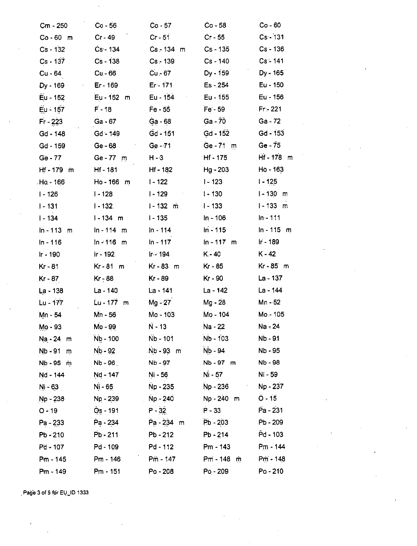| Cm - 250       | $Co - 56$    | Co - 57      | $Co - 58$                            | $Co - 60$      |
|----------------|--------------|--------------|--------------------------------------|----------------|
| $Co - 60$ m    | $Cr - 49$    | $Cr - 51$    | $Cr - 55$                            | $Cs - 131$     |
| Cs - 132       | $Cs - 134$   | $Cs - 134$ m | Cs - 135                             | $Cs - 136$     |
| $Cs - 137$     | Cs - 138     | $Cs - 139$   | Cs - 140                             | $Cs - 141$     |
| Cu - 64        | Cu - 66      | Cu - 67      | Dy - 159                             | Dy - 165       |
| Dy - 169<br>×, | Er - 169     | $Er - 171$   | Es - 254                             | Eu - 150       |
| Eu - 152       | Eu - 152 m   | Eu - 154     | Eu - 155                             | Eu - 156       |
| Eu - 157       | $F - 18$     | $Fe - 55$    | Fe - 59                              | $Fr - 221$     |
| $Fr - 223$     | $Ga - 67$    | Ga - 68      | $Ga - 70$                            | Ga - 72        |
| $Gd - 148$     | Gd - 149     | $Gd - 151$   | Gd - 152                             | Gd - 153       |
| Gd - 159       | Ge - 68      | $Ge - 71$    | Ge-71 m                              | $Ge - 75$      |
| $Ge - 77$      | Ge-77 m      | H - 3        | $Hf - 175$                           | Hf-178 m       |
| $Hf - 179$ m   | Hf - 181     | Hf - 182     | $Hg - 203$                           | Ho - 163       |
| Ho - 166       | Ho-166 m     | $1 - 122$    | $1 - 123$                            | $1 - 125$      |
| $1 - 126$      | I - 128      | $1 - 129$    | $1 - 130$                            | $1 - 130$<br>m |
| $1 - 131$      | $1 - 132$    | $1 - 132$ m  | $1 - 133$                            | $1 - 133$ m    |
| I - 134        | $1 - 134$ m  | $1 - 135$    | In - 106                             | $In - 111$     |
| $ln - 113$ m   | $ln - 114$ m | $ln - 114$   | $ln - 115$                           | $ln - 115$ m   |
| In - 116       | $ln - 116$ m | $ln - 117$   | $ln - 117$ m                         | Ir - 189       |
| Ir - 190       | Ir - 192.    | $Ir - 194$   | K - 40                               | $K - 42$       |
| Kr - 81        | Kr - 81<br>m | Kr-83 m      | Kr - 85                              | Kr-85 m        |
| $Kr - 87$      | $Kr - 88$    | Kr - 89      | Kr - 90                              | La - 137       |
| La - 138       | La - 140     | La - 141     | La - 142                             | La - 144       |
| Lu - 177       | $Lu - 177$ m | Mg - 27      | Mg - 28                              | Mn - 52        |
| Mn - 54        | Mn - 56      | Mo - 103     | Mo - 104                             | Mo - 105       |
| Mo - 93        | Mo - 99      | $N - 13$     | Na - 22                              | Na - 24        |
| $Na - 24$ m    | $Nb - 100$   | Nb - 101     | Nb - 103                             | Nb - 91        |
| Nb - 91<br>m   | Nb - 92      | $Nb - 93 m$  | Nb - 94                              | Nb - 95        |
| Nb-95 m        | $Nb - 96$    | Nb - 97      | Nb-97 m                              | Nb - 98        |
| Nd - 144       | Nd - 147     | Ni - 56      | Ni - 57                              | Ni - 59        |
| Ni - 63        | Ni - 65      | Np - 235     | Np - 236<br>$\mathcal{F}_{\rm{max}}$ | Np - 237       |
| Np - 238       | Np - 239     | Np - 240     | No - 240 m                           | $O - 15$       |
| $O - 19$       | Os - 191     | $P - 32$     | $P - 33$                             | Pa - 231       |
| Pa - 233       | Pa - 234     | Pa-234 m     | Pb - 203                             | Pb - 209       |
| $Pb - 210$     | Pb - 211     | $Pb - 212$   | Pb - 214                             | Pd - 103       |
| $Pd - 107$     | Pd - 109     | $Pd - 112$   | Pm - 143                             | Pm - 144       |
| Pm - 145       | Pm - 146     | $Pm - 147$   | $Pm - 148$ m                         | $Pm - 148$     |
| Pm - 149       | $Pm - 151$   | Po - 208     | Po - 209                             | $Po - 210$     |

Page 3 of 5 for EU\_ID 1333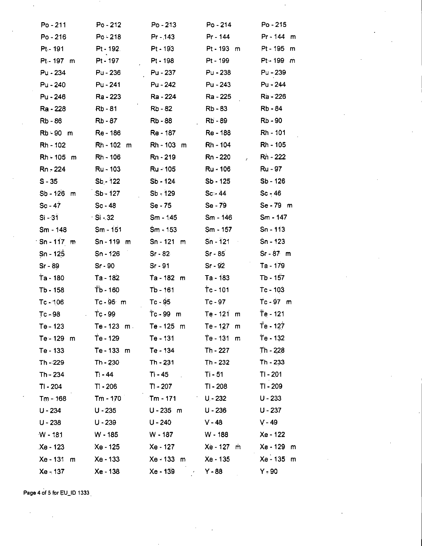| Po - 211                        | $Po - 212$  | $Po - 213$      | $Po - 214$            | Po - 215        |
|---------------------------------|-------------|-----------------|-----------------------|-----------------|
| $Po - 216$                      | $Po - 218$  | $Pr - 143$      | Pr - 144              | Pr-144 m        |
| $Pt - 191$                      | Pt - 192.   | $Pt - 193$      | Pt-193 m              | Pt-195 m        |
| Pt-197 m                        | Pt - 197    | Pt - 198        | Pt - 199              | Pt - 199 m      |
| Pu - 234                        | Pu - 236    | Pu - 237        | Pu - 238              | Pu - 239        |
| Pu - 240                        | Pu - 241    | Pu - 242        | Pu - 243              | Pu - 244        |
| Pu - 246                        | Ra - 223    | Ra - 224        | Ra - 225              | Ra - 226        |
| Ra - 228                        | Rb - 81     | Rb - 82         | Rb-83                 | Rb - 84         |
| Rb - 86                         | $Rb - 87$   | Rb - 88         | Rb - 89               | Rb - 90         |
| Rb-90 m                         | Re - 186    | <b>Re</b> - 187 | Re - 188              | Rh - 101        |
| Rh - 102                        | Rh - 102 m  | Rh - 103 m      | Rh - 104              | <b>Rh</b> - 105 |
| Rh - 105 m                      | Rh - 106    | Rn - 219        | Rn - 220<br>$\lambda$ | Rn - 222        |
| Rn - 224                        | Ru - 103    | Ru - 105        | Ru - 106              | Ru - 97         |
| $S - 35$                        | $Sb - 122$  | Sb - 124        | $Sb - 125$            | $Sb - 126$      |
| Sb - 126 m                      | Sb - 127    | $Sb - 129$      | $Sc - 44$             | $Sc - 46$       |
| $Sc - 47$                       | $Sc - 48$   | Se - 75         | Se - 79               | Se - 79 m       |
| $Si - 31$                       | ∴Si - 32    | $Sm - 1.45$     | $Sm - 146$            | $Sm - 147$      |
| Sm - 148                        | $Sm - 151$  | $Sm - 153$      | $Sm - 157$            | $Sn - 113$      |
| $Sn - 117$ m                    | Sn - 119 m  | $Sn - 121$ m    | $Sn - 121$<br>$\sim$  | $Sn - 123$      |
| $Sn - 125$                      | $Sn - 126$  | $Sr-82$         | $Sr - 85$             | $Sr - 87$ m     |
| $Sr - 89$                       | $Sr-90$     | $Sr-91$         | Sr - 92               | Ta - 179        |
| Ta - 180                        | Ta - 182    | Ta - 182 m      | Ta - 183              | Tb - 157        |
| Tb - 158                        | Tb - 160    | $Tb - 161$      | $Tc - 101$            | $Tc - 103$      |
| $Tc - 106$                      | Tc-95 m     | $Tc - 95$       | Tc - 97               | Tc-97 m         |
| Tc - 98<br>$\ddot{\phantom{a}}$ | Tc-99       | Tc-99 m         | Te - 121 m            | $Te - 121$      |
| Te - 123                        | Te - 123 m. | Te - 125 m      | $Te - 127$ m          | Te - 127        |
| Te - 129<br>m                   | Te - 129    | Te - 131        | Te - 131<br>m         | Te - 132        |
| Te - 133                        | Te - 133 m  | Te - 134        | $Th - 227$            | Th - 228        |
| Th - 229                        | Th - 230    | $Th - 231$      | Th - 232              | Th - 233        |
| $Th - 234$                      | Ti - 44     | $Ti - 45$       | Ti - 51               | TI - 201        |
| TI - 204                        | $T! - 206$  | $T - 207$       | TI - 208              | TI - 209        |
| Tm - 168                        | $Tm - 170$  | $Tm - 171$      | $U - 232$             | $U - 233$       |
| $U - 234$                       | $U - 235$   | $U - 235$ m     | $U - 236$             | $U - 237$       |
| $U - 238$                       | $U - 239$   | $U - 240$       | $V - 48$              | $V - 49$        |
| $W - 181$                       | W - 185     | W - 187         | W - 188               | Xe - 122        |
| Xe - 123                        | Xe - 125    | Xe - 127        | Xe - 127<br>m         | Xe - 129 m      |
| Xe - 131<br>m                   | Xe - 133    | Xe - 133 m      | Xe - 135              | Xe - 135 m      |
| Xe - 137                        | Xe - 138    | Xe - 139        | $Y - 88$              | Y, 90           |

Page 4 of 5 for EU\_ID 1333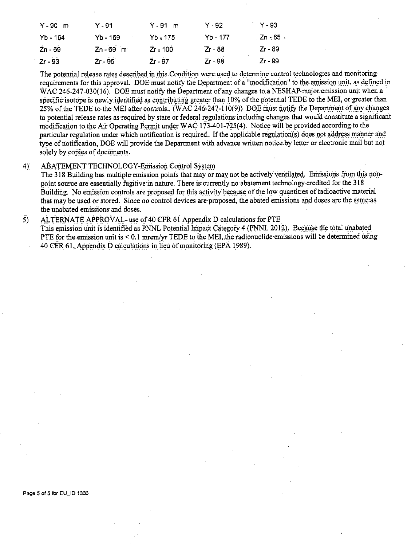| $Y - 90$ m | Ÿ-91        | $Y - 91$ m | $Y - 92$   | $Y - 93$   |
|------------|-------------|------------|------------|------------|
| $Yb - 164$ | $Yb - 169$  | $Yb = 175$ | $Yb - 177$ | . Zn ≒65 ⊹ |
| $2n - 69$  | $Zn - 69$ m | $Zr = 100$ | $Zr - 88$  | $Zr - 89$  |
| $2r - 93$  | $Zr - 95$   | $Zr - 97$  | Zr - 98    | Zr - 99    |

The potential release rates described in this Condition were used to determine control technologies and monitoring requirements for this approval. DOE must notify the Department of a "modification" to the emission unit, as defined in WAC 246-247-030(16). DOE must notify the Department of any changes to a NESHAP major emission unit when a specific isotope is newly identified as contributing greater than 10% of the potential TEDE to the MEI, or greater than 25% of the TEDE to the MEI after controls. (WAC 246-247-110(9)) DOE must notify the Department of any changes to potential release rates as required by state or federal regulations including changes that would constitute a significant modification to the Air Operating Permit under WAC 173-401-725(4). Notice will be provided according to the particular regulation under which notification is required. If the applicable regulation(s) does not address manner and type of notification, DOE will provide the Department with advance written notice by letter or electronic mail but not solely by copies of documents.

#### **ABATEMENT TECHNOLOGY-Emission Control System**  $4)$

The 318 Building has multiple emission points that may or may not be actively ventilated. Emissions from this nonpoint source are essentially fugitive in nature. There is currently no abatement technology credited for the 318 Building. No emission controls are proposed for this activity because of the low quantities of radioactive material that may be used or stored. Since no control devices are proposed, the abated emissions and doses are the same as the unabated emissions and doses.

#### $\overline{5}$ ALTERNATE APPROVAL- use of 40 CFR 61 Appendix D calculations for PTE

This emission unit is identified as PNNL Potential Impact Category 4 (PNNL 2012). Because the total unabated PTE for the emission unit is < 0.1 mrem/yr TEDE to the MEI, the radionuclide emissions will be determined using 40 CFR 61, Appendix D calculations in lieu of monitoring (EPA 1989).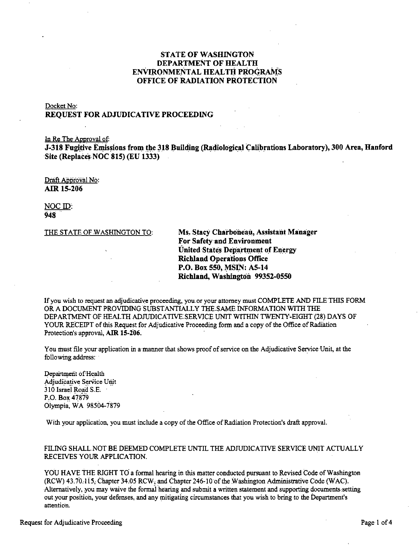# **STATE OF WASHINGTON DEPARTMENT OF HEALTH** ENVIRONMENTAL HEALTH PROGRAMS **OFFICE OF RADIATION PROTECTION**

## Docket No: **REOUEST FOR ADJUDICATIVE PROCEEDING**

In Re The Approval of:

J-318 Fugitive Emissions from the 318 Building (Radiological Calibrations Laboratory), 300 Area, Hanford Site (Replaces NOC 815) (EU 1333)

Draft Approval No: AIR 15-206

NOC ID: 948

THE STATE OF WASHINGTON TO:

Ms. Stacy Charboneau, Assistant Manager For Safety and Environment **United States Department of Energy Richland Operations Office** P.O. Box 550, MSIN: A5-14 Richland, Washington 99352-0550

If you wish to request an adjudicative proceeding, you or your attorney must COMPLETE AND FILE THIS FORM OR A DOCUMENT PROVIDING SUBSTANTIALLY THE SAME INFORMATION WITH THE DEPARTMENT OF HEALTH ADJUDICATIVE SERVICE UNIT WITHIN TWENTY-EIGHT (28) DAYS OF YOUR RECEIPT of this Request for Adjudicative Proceeding form and a copy of the Office of Radiation Protection's approval, AIR 15-206.

You must file your application in a manner that shows proof of service on the Adjudicative Service Unit, at the following address.

Department of Health Adjudicative Service Unit 310 Israel Road S.E. P.O. Box 47879 Olympia, WA 98504-7879

With your application, you must include a copy of the Office of Radiation Protection's draft approval.

## FILING SHALL NOT BE DEEMED COMPLETE UNTIL THE ADJUDICATIVE SERVICE UNIT ACTUALLY RECEIVES YOUR APPLICATION.

YOU HAVE THE RIGHT TO a formal hearing in this matter conducted pursuant to Revised Code of Washington (RCW) 43.70.115, Chapter 34.05 RCW, and Chapter 246-10 of the Washington Administrative Code (WAC). Alternatively, you may waive the formal hearing and submit a written statement and supporting documents setting out your position, your defenses, and any mitigating circumstances that you wish to bring to the Department's attention.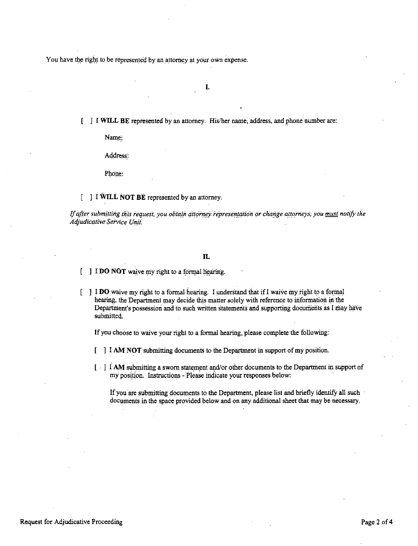You have the right to be represented by an attorney at your own expense.

I.

[ J I **Wll,L BE** represented by an attorney. His/her name, address, and phone number are:

Name:

Address:

Phone:

## [ ] I **WILL NOT BE** represented by an attorney.

If after submitting this request, you obtain attorney.representation or change attorneys, you must notify the *AdjudicativeService Unit:* 

### **II.**

**I DO NOT** waive my right to a formal liearing.

 $\lceil \cdot \rceil$  **I DO** waive my right to a formal hearing. I understand that if I waive my right to a formal hearing, the Department may decide this matter solely with reference to information in the Department's possession and to such written statements and supporting documents as I may have submitted.

If you choose to waive your right to a formal hearing, please complete the following:

- I **AM NOT** submitting documents to the Department in support of my position.
- $\left[\begin{array}{c} \cdot \end{array}\right]$  **I AM** submitting a sworn statement and/or other documents to the Department in support of my position. Instructions - Please indicate your responses below:

If you are submitting documents to the Department, please list and briefly identify all such documents in the space provided below and on any. additional sheet that may be necessary.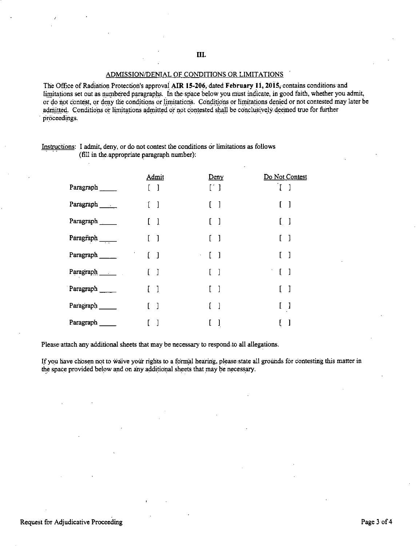### ADMISSION/DENIAL OF CONDITIONS OR LIMITATIONS

The Office of Radiation Protection's approvai **AIR 15-206,** dated **February 11, 2015,** contains conditions 'and limitations set out as numbered paragraphs. In the space below you must indicate, in good faith, whether you admit, or do not contest, or deny the conditions or limitations. Conditions or limitations denied or not contested may later be admitted. Conditions or limitations admitted or not contested shall be conclusively deemed true for further , proceedings.

|                  | <b>Admit</b>                                                  | Deny                                                            | Do Not Contest                        |
|------------------|---------------------------------------------------------------|-----------------------------------------------------------------|---------------------------------------|
| Paragraph        | $\mathbf{l}$                                                  | [1]                                                             | $\begin{bmatrix} 1 \end{bmatrix}$     |
| Paragraph        | $\begin{array}{c} \end{array}$                                |                                                                 | $\begin{bmatrix} 1 \end{bmatrix}$     |
| Paragraph        | $\begin{bmatrix} 1 \end{bmatrix}$                             |                                                                 | $\begin{bmatrix} 1 & 1 \end{bmatrix}$ |
| Paragraph $\_\_$ | $\begin{bmatrix} 1 \end{bmatrix}$                             | $\lceil -1 \rceil$                                              | $\begin{bmatrix} 1 \end{bmatrix}$     |
| Paragraph        | $\mathcal{F}_{\rm{max}}$<br>$\begin{bmatrix} 1 \end{bmatrix}$ | $\begin{bmatrix} 1 \end{bmatrix}$<br>$\mathcal{L}^{\text{max}}$ | $\begin{bmatrix} 1 \end{bmatrix}$     |
| Paragraph        | $\begin{bmatrix} 1 \end{bmatrix}$                             | $\Box$                                                          | $\begin{bmatrix} 1 \end{bmatrix}$     |
| Paragraph        | $\begin{bmatrix} 1 \end{bmatrix}$                             | - 1                                                             | $\begin{bmatrix} 1 & 1 \end{bmatrix}$ |
| Paragraph        | $\begin{bmatrix} 1 \end{bmatrix}$                             | $\overline{\phantom{a}}$                                        | $\begin{bmatrix} 1 \end{bmatrix}$     |
| Paragraph        |                                                               | l                                                               |                                       |

Instructions: I admit, deny, or do not contest the conditions or limitations as follows (fill in the appropriate paragraph number):

Please attach any additional sheets that may be necessary to respond to all allegations.

If you have chosen not to waive your rights to a formal hearing, please state all grounds for contesting this matter in the space provided below and on any additional sheets that may be necessary.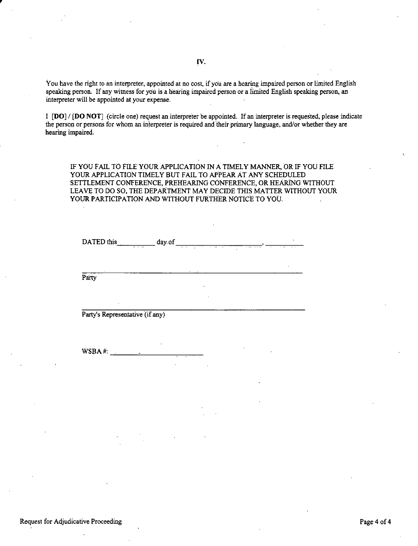You have the right to an interpreter, appointed at no cost, if you are a hearing impaired person or limited English speaking person. If any witness for you is a hearing impaired person or a limited English speaking person, an interpreter will be appointed at your expense.

<sup>I</sup>**[DO]/ [DO NOT]** (circle one) request an interpreter be appointed. If an interpreter is requested, please indicate the person or persons for whom an interpreter is required and their primary language, and/or whether they are hearing impaired.

IF YOU FAIL TO FILEYOUR APPLICATION IN A TIMELY MANNER, OR IF YOU FILE YOUR APPLICATION TIMELY BUT FAIL TO APPEAR AT ANY SCHEDULED SETTLEMENT CONFERENCE, PREHEARING CONFERENCE, OR HEARING WITHOUT LEAVE TO DO SO, THE DEPARTMENT MAY DECIDE THIS MATTER WITHOUT YOUR YOUR PARTICIPATION AND WITHOUT FURTHER NOTICE TO YOU.

| DATED this<br>$\sim$ $\sim$ $\sim$ | day of<br><b>-</b><br>$\mathbf{r}$ | ٠. | $\cdot$<br>$\sim$ $\sim$ |
|------------------------------------|------------------------------------|----|--------------------------|
|                                    |                                    |    |                          |
| Party                              | $\cdot$                            |    |                          |

Party's Representative (if any)

 $WSBA #:$   $\frac{1}{2}$ 

•